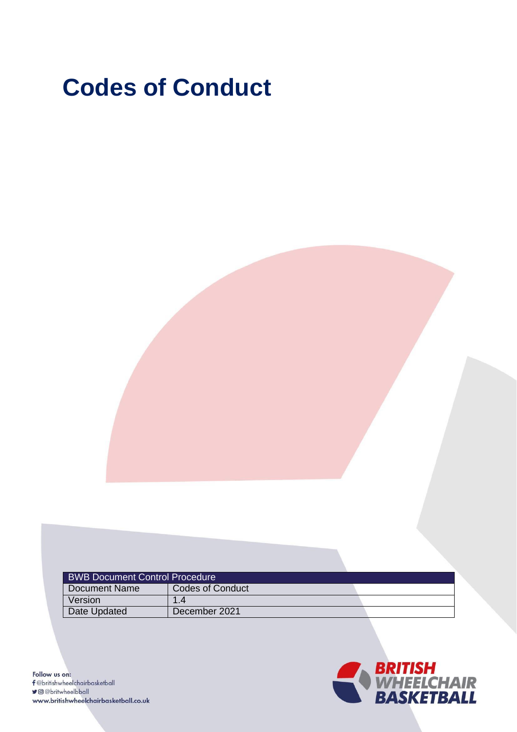# **Codes of Conduct**

| <b>BWB Document Control Procedure</b> |                  |  |
|---------------------------------------|------------------|--|
| Document Name                         | Codes of Conduct |  |
| Version                               |                  |  |
| Date Updated                          | December 2021    |  |



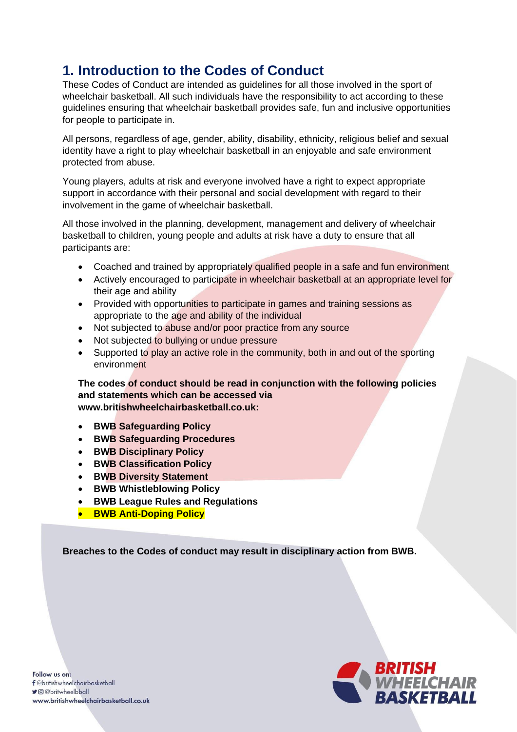# **1. Introduction to the Codes of Conduct**

These Codes of Conduct are intended as guidelines for all those involved in the sport of wheelchair basketball. All such individuals have the responsibility to act according to these guidelines ensuring that wheelchair basketball provides safe, fun and inclusive opportunities for people to participate in.

All persons, regardless of age, gender, ability, disability, ethnicity, religious belief and sexual identity have a right to play wheelchair basketball in an enjoyable and safe environment protected from abuse.

Young players, adults at risk and everyone involved have a right to expect appropriate support in accordance with their personal and social development with regard to their involvement in the game of wheelchair basketball.

All those involved in the planning, development, management and delivery of wheelchair basketball to children, young people and adults at risk have a duty to ensure that all participants are:

- Coached and trained by appropriately qualified people in a safe and fun environment
- Actively encouraged to participate in wheelchair basketball at an appropriate level for their age and ability
- Provided with opportunities to participate in games and training sessions as appropriate to the age and ability of the individual
- Not subjected to abuse and/or poor practice from any source
- Not subjected to bullying or undue pressure
- Supported to play an active role in the community, both in and out of the sporting environment

**The codes of conduct should be read in conjunction with the following policies and statements which can be accessed via [www.britishwheelchairbasketball.co.uk:](http://www.britishwheelchairbasketball.co.uk/)**

- **BWB Safeguarding Policy**
- **BWB Safeguarding Procedures**
- **BWB Disciplinary Policy**
- **BWB Classification Policy**
- **BWB Diversity Statement**
- **BWB Whistleblowing Policy**
- **BWB League Rules and Regulations**
- **BWB Anti-Doping Policy**

**Breaches to the Codes of conduct may result in disciplinary action from BWB.**



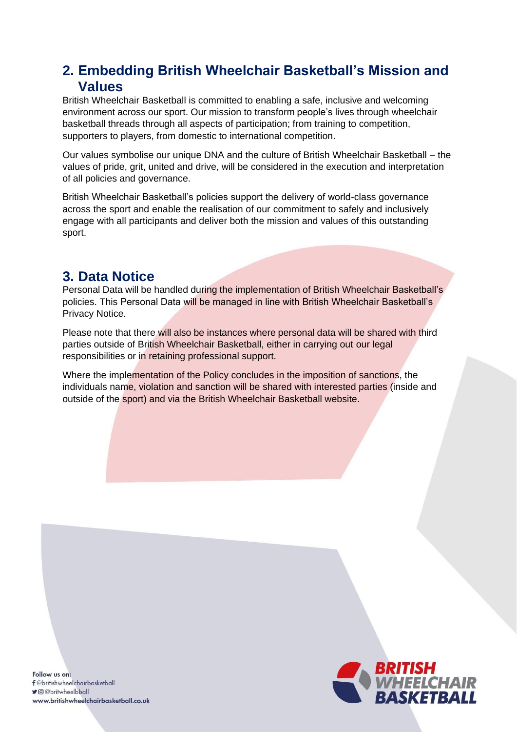## **2. Embedding British Wheelchair Basketball's Mission and Values**

British Wheelchair Basketball is committed to enabling a safe, inclusive and welcoming environment across our sport. Our mission to transform people's lives through wheelchair basketball threads through all aspects of participation; from training to competition, supporters to players, from domestic to international competition.

Our values symbolise our unique DNA and the culture of British Wheelchair Basketball – the values of pride, grit, united and drive, will be considered in the execution and interpretation of all policies and governance.

British Wheelchair Basketball's policies support the delivery of world-class governance across the sport and enable the realisation of our commitment to safely and inclusively engage with all participants and deliver both the mission and values of this outstanding sport.

## **3. Data Notice**

Personal Data will be handled during the implementation of British Wheelchair Basketball's policies. This Personal Data will be managed in line with British Wheelchair Basketball's Privacy Notice.

Please note that there will also be instances where personal data will be shared with third parties outside of British Wheelchair Basketball, either in carrying out our legal responsibilities or in retaining professional support.

Where the implementation of the Policy concludes in the imposition of sanctions, the individuals name, violation and sanction will be shared with interested parties (inside and outside of the sport) and via the British Wheelchair Basketball website.

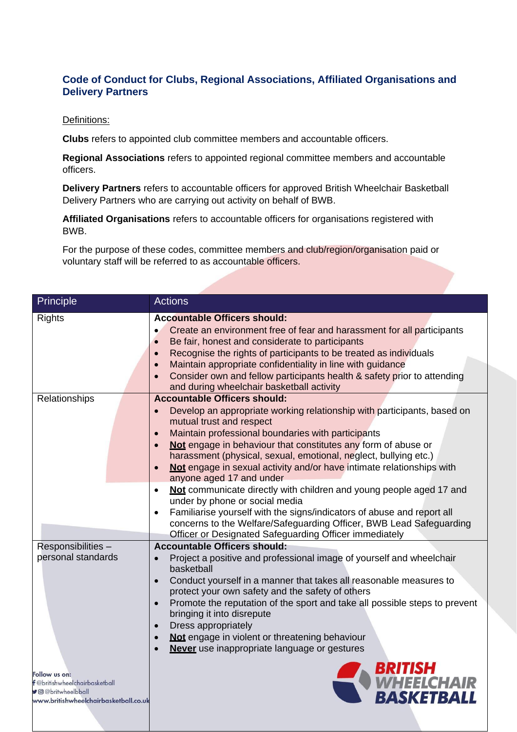#### **Code of Conduct for Clubs, Regional Associations, Affiliated Organisations and Delivery Partners**

#### Definitions:

**Clubs** refers to appointed club committee members and accountable officers.

**Regional Associations** refers to appointed regional committee members and accountable officers.

**Delivery Partners** refers to accountable officers for approved British Wheelchair Basketball Delivery Partners who are carrying out activity on behalf of BWB.

**Affiliated Organisations** refers to accountable officers for organisations registered with BWB.

For the purpose of these codes, committee members and club/region/organisation paid or voluntary staff will be referred to as accountable officers.

| Principle                                                                                                    | <b>Actions</b>                                                                                                                                                                                                                                                                                                                                                                                                                                                                                                                                                                |
|--------------------------------------------------------------------------------------------------------------|-------------------------------------------------------------------------------------------------------------------------------------------------------------------------------------------------------------------------------------------------------------------------------------------------------------------------------------------------------------------------------------------------------------------------------------------------------------------------------------------------------------------------------------------------------------------------------|
| <b>Rights</b>                                                                                                | <b>Accountable Officers should:</b><br>Create an environment free of fear and harassment for all participants<br>$\bullet$<br>Be fair, honest and considerate to participants<br>$\bullet$<br>Recognise the rights of participants to be treated as individuals<br>$\bullet$<br>Maintain appropriate confidentiality in line with guidance<br>$\bullet$<br>Consider own and fellow participants health & safety prior to attending<br>and during wheelchair basketball activity                                                                                               |
| Relationships                                                                                                | <b>Accountable Officers should:</b><br>Develop an appropriate working relationship with participants, based on<br>$\bullet$<br>mutual trust and respect<br>Maintain professional boundaries with participants<br>$\bullet$<br>Not engage in behaviour that constitutes any form of abuse or<br>$\bullet$<br>harassment (physical, sexual, emotional, neglect, bullying etc.)<br>Not engage in sexual activity and/or have intimate relationships with<br>$\bullet$<br>anyone aged 17 and under                                                                                |
|                                                                                                              | Not communicate directly with children and young people aged 17 and<br>$\bullet$<br>under by phone or social media<br>Familiarise yourself with the signs/indicators of abuse and report all<br>$\bullet$<br>concerns to the Welfare/Safeguarding Officer, BWB Lead Safeguarding<br>Officer or Designated Safeguarding Officer immediately                                                                                                                                                                                                                                    |
| Responsibilities-<br>personal standards                                                                      | <b>Accountable Officers should:</b><br>Project a positive and professional image of yourself and wheelchair<br>$\bullet$<br>basketball<br>Conduct yourself in a manner that takes all reasonable measures to<br>$\bullet$<br>protect your own safety and the safety of others<br>Promote the reputation of the sport and take all possible steps to prevent<br>$\bullet$<br>bringing it into disrepute<br>Dress appropriately<br>$\bullet$<br>Not engage in violent or threatening behaviour<br>$\bullet$<br><b>Never</b> use inappropriate language or gestures<br>$\bullet$ |
| Follow us on:<br>f@britishwheelchairbasketball<br>O @britwheelbball<br>www.britishwheelchairbasketball.co.uk | <b>BRITISH<br/>WHEELCHAIR</b><br>BASKETBALL                                                                                                                                                                                                                                                                                                                                                                                                                                                                                                                                   |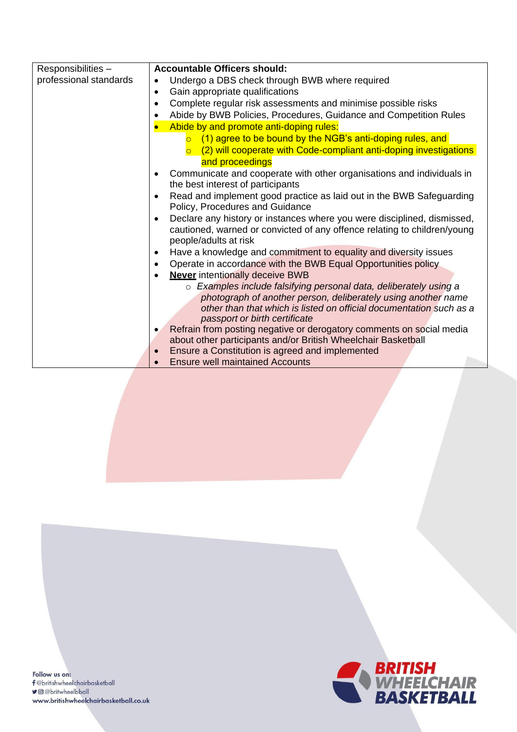| Responsibilities-      | <b>Accountable Officers should:</b>                                                  |
|------------------------|--------------------------------------------------------------------------------------|
| professional standards | Undergo a DBS check through BWB where required<br>$\bullet$                          |
|                        | Gain appropriate qualifications<br>$\bullet$                                         |
|                        | Complete regular risk assessments and minimise possible risks<br>$\bullet$           |
|                        | Abide by BWB Policies, Procedures, Guidance and Competition Rules<br>$\bullet$       |
|                        | Abide by and promote anti-doping rules:                                              |
|                        | $\circ$ (1) agree to be bound by the NGB's anti-doping rules, and                    |
|                        | (2) will cooperate with Code-compliant anti-doping investigations<br>$\circ$         |
|                        | and proceedings                                                                      |
|                        | Communicate and cooperate with other organisations and individuals in<br>$\bullet$   |
|                        | the best interest of participants                                                    |
|                        | Read and implement good practice as laid out in the BWB Safeguarding<br>$\bullet$    |
|                        | Policy, Procedures and Guidance                                                      |
|                        | Declare any history or instances where you were disciplined, dismissed,<br>$\bullet$ |
|                        | cautioned, warned or convicted of any offence relating to children/young             |
|                        | people/adults at risk                                                                |
|                        | Have a knowledge and commitment to equality and diversity issues<br>$\bullet$        |
|                        | Operate in accordance with the BWB Equal Opportunities policy<br>$\bullet$           |
|                        | <b>Never</b> intentionally deceive BWB<br>$\bullet$                                  |
|                        | o Examples include falsifying personal data, deliberately using a                    |
|                        | photograph of another person, deliberately using another name                        |
|                        | other than that which is listed on official documentation such as a                  |
|                        | passport or birth certificate                                                        |
|                        | Refrain from posting negative or derogatory comments on social media<br>$\bullet$    |
|                        | about other participants and/or British Wheelchair Basketball                        |
|                        | Ensure a Constitution is agreed and implemented<br>$\bullet$                         |
|                        | <b>Ensure well maintained Accounts</b>                                               |

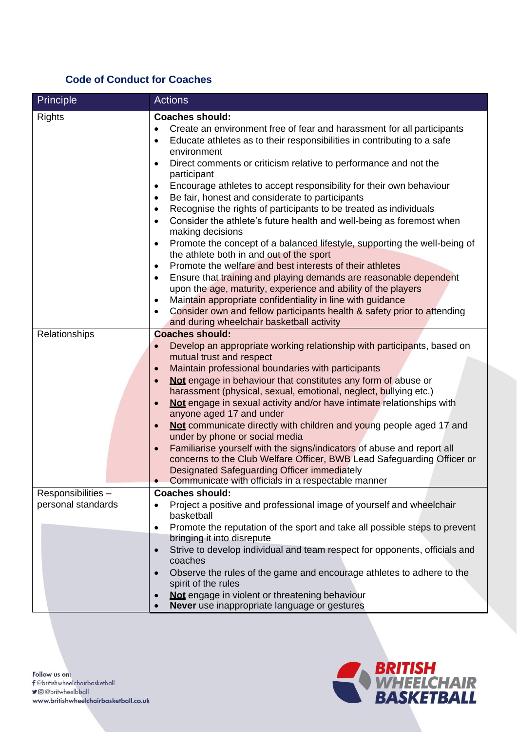#### **Code of Conduct for Coaches**

| Principle                               | <b>Actions</b>                                                                                                                                                                                                                                                                                                                                                                                                                                                                                                                                                                                                                                                                                                                                                                                                                                                                                                                                                                                                                                                                                                                                                                                                           |
|-----------------------------------------|--------------------------------------------------------------------------------------------------------------------------------------------------------------------------------------------------------------------------------------------------------------------------------------------------------------------------------------------------------------------------------------------------------------------------------------------------------------------------------------------------------------------------------------------------------------------------------------------------------------------------------------------------------------------------------------------------------------------------------------------------------------------------------------------------------------------------------------------------------------------------------------------------------------------------------------------------------------------------------------------------------------------------------------------------------------------------------------------------------------------------------------------------------------------------------------------------------------------------|
| <b>Rights</b>                           | <b>Coaches should:</b><br>Create an environment free of fear and harassment for all participants<br>Educate athletes as to their responsibilities in contributing to a safe<br>$\bullet$<br>environment<br>Direct comments or criticism relative to performance and not the<br>$\bullet$<br>participant<br>Encourage athletes to accept responsibility for their own behaviour<br>$\bullet$<br>Be fair, honest and considerate to participants<br>$\bullet$<br>Recognise the rights of participants to be treated as individuals<br>$\bullet$<br>Consider the athlete's future health and well-being as foremost when<br>$\bullet$<br>making decisions<br>Promote the concept of a balanced lifestyle, supporting the well-being of<br>$\bullet$<br>the athlete both in and out of the sport<br>Promote the welfare and best interests of their athletes<br>$\bullet$<br>Ensure that training and playing demands are reasonable dependent<br>$\bullet$<br>upon the age, maturity, experience and ability of the players<br>Maintain appropriate confidentiality in line with guidance<br>٠<br>Consider own and fellow participants health & safety prior to attending<br>٠<br>and during wheelchair basketball activity |
| Relationships                           | <b>Coaches should:</b>                                                                                                                                                                                                                                                                                                                                                                                                                                                                                                                                                                                                                                                                                                                                                                                                                                                                                                                                                                                                                                                                                                                                                                                                   |
|                                         | Develop an appropriate working relationship with participants, based on<br>mutual trust and respect<br>Maintain professional boundaries with participants<br>$\bullet$<br>Not engage in behaviour that constitutes any form of abuse or<br>$\bullet$<br>harassment (physical, sexual, emotional, neglect, bullying etc.)<br>Not engage in sexual activity and/or have intimate relationships with<br>$\bullet$<br>anyone aged 17 and under<br>Not communicate directly with children and young people aged 17 and<br>$\bullet$<br>under by phone or social media<br>Familiarise yourself with the signs/indicators of abuse and report all<br>$\bullet$<br>concerns to the Club Welfare Officer, BWB Lead Safeguarding Officer or<br>Designated Safeguarding Officer immediately<br>Communicate with officials in a respectable manner                                                                                                                                                                                                                                                                                                                                                                                   |
| Responsibilities-<br>personal standards | <b>Coaches should:</b><br>Project a positive and professional image of yourself and wheelchair<br>$\bullet$<br>basketball<br>Promote the reputation of the sport and take all possible steps to prevent<br>$\bullet$<br>bringing it into disrepute<br>Strive to develop individual and team respect for opponents, officials and<br>$\bullet$<br>coaches<br>Observe the rules of the game and encourage athletes to adhere to the<br>$\bullet$<br>spirit of the rules<br>Not engage in violent or threatening behaviour<br>Never use inappropriate language or gestures                                                                                                                                                                                                                                                                                                                                                                                                                                                                                                                                                                                                                                                  |

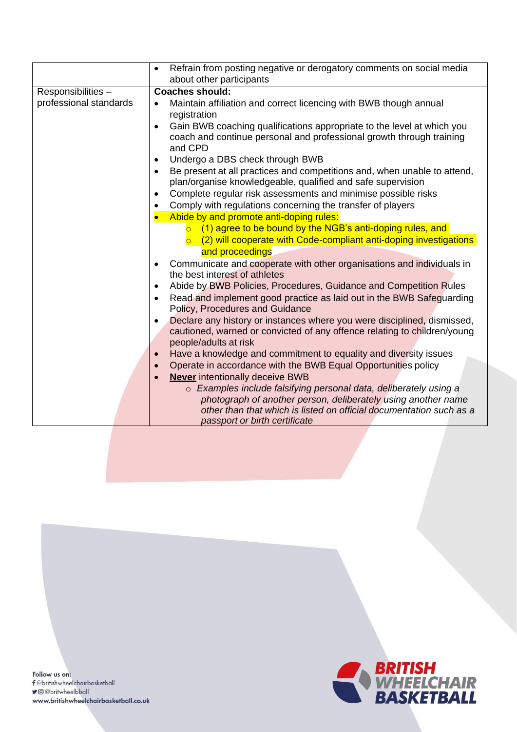|                                             | Refrain from posting negative or derogatory comments on social media<br>$\bullet$<br>about other participants                                                                                                                                                                                                                                                                                                                                                                                                                                                                                                                                                                                                                                                                                                                                                                                                                                                                                              |
|---------------------------------------------|------------------------------------------------------------------------------------------------------------------------------------------------------------------------------------------------------------------------------------------------------------------------------------------------------------------------------------------------------------------------------------------------------------------------------------------------------------------------------------------------------------------------------------------------------------------------------------------------------------------------------------------------------------------------------------------------------------------------------------------------------------------------------------------------------------------------------------------------------------------------------------------------------------------------------------------------------------------------------------------------------------|
| Responsibilities-<br>professional standards | <b>Coaches should:</b><br>Maintain affiliation and correct licencing with BWB though annual<br>$\bullet$<br>registration<br>Gain BWB coaching qualifications appropriate to the level at which you<br>$\bullet$<br>coach and continue personal and professional growth through training<br>and CPD<br>Undergo a DBS check through BWB<br>$\bullet$<br>Be present at all practices and competitions and, when unable to attend,<br>$\bullet$<br>plan/organise knowledgeable, qualified and safe supervision<br>Complete regular risk assessments and minimise possible risks<br>$\bullet$<br>Comply with regulations concerning the transfer of players<br>$\bullet$<br>Abide by and promote anti-doping rules:<br>$\bullet$<br>(1) agree to be bound by the NGB's anti-doping rules, and<br>$\overline{O}$<br>(2) will cooperate with Code-compliant anti-doping investigations<br>$\overline{O}$<br>and proceedings<br>Communicate and cooperate with other organisations and individuals in<br>$\bullet$ |
|                                             | the best interest of athletes<br>Abide by BWB Policies, Procedures, Guidance and Competition Rules<br>$\bullet$<br>Read and implement good practice as laid out in the BWB Safeguarding<br>$\bullet$<br><b>Policy, Procedures and Guidance</b><br>Declare any history or instances where you were disciplined, dismissed,<br>$\bullet$<br>cautioned, warned or convicted of any offence relating to children/young<br>people/adults at risk<br>Have a knowledge and commitment to equality and diversity issues<br>$\bullet$<br>Operate in accordance with the BWB Equal Opportunities policy<br>$\bullet$<br><b>Never</b> intentionally deceive BWB<br>$\bullet$<br>o Examples include falsifying personal data, deliberately using a<br>photograph of another person, deliberately using another name<br>other than that which is listed on official documentation such as a<br>passport or birth certificate                                                                                            |

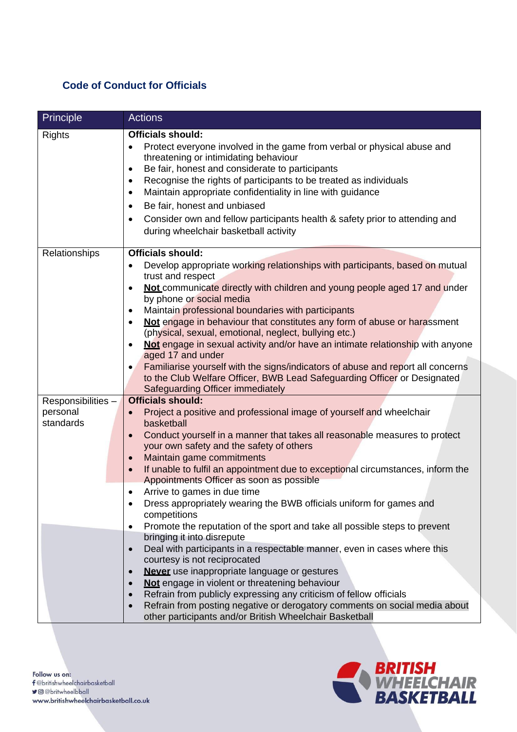### **Code of Conduct for Officials**

| Principle                                  | <b>Actions</b>                                                                                                                                                                                                                                                                                                                                                                                                                                                                                                                                                                                                                                                                                                                                                        |
|--------------------------------------------|-----------------------------------------------------------------------------------------------------------------------------------------------------------------------------------------------------------------------------------------------------------------------------------------------------------------------------------------------------------------------------------------------------------------------------------------------------------------------------------------------------------------------------------------------------------------------------------------------------------------------------------------------------------------------------------------------------------------------------------------------------------------------|
| <b>Rights</b>                              | <b>Officials should:</b><br>Protect everyone involved in the game from verbal or physical abuse and<br>threatening or intimidating behaviour<br>Be fair, honest and considerate to participants<br>$\bullet$<br>Recognise the rights of participants to be treated as individuals<br>$\bullet$<br>Maintain appropriate confidentiality in line with guidance<br>$\bullet$<br>Be fair, honest and unbiased<br>$\bullet$<br>Consider own and fellow participants health & safety prior to attending and<br>during wheelchair basketball activity                                                                                                                                                                                                                        |
| Relationships                              | <b>Officials should:</b><br>Develop appropriate working relationships with participants, based on mutual<br>trust and respect<br>Not communicate directly with children and young people aged 17 and under<br>$\bullet$<br>by phone or social media<br>Maintain professional boundaries with participants<br>Not engage in behaviour that constitutes any form of abuse or harassment<br>(physical, sexual, emotional, neglect, bullying etc.)<br>Not engage in sexual activity and/or have an intimate relationship with anyone<br>$\bullet$<br>aged 17 and under<br>Familiarise yourself with the signs/indicators of abuse and report all concerns<br>to the Club Welfare Officer, BWB Lead Safeguarding Officer or Designated<br>Safeguarding Officer immediately |
| Responsibilities-<br>personal<br>standards | <b>Officials should:</b><br>Project a positive and professional image of yourself and wheelchair<br>basketball<br>Conduct yourself in a manner that takes all reasonable measures to protect<br>$\bullet$<br>your own safety and the safety of others<br>Maintain game commitments<br>If unable to fulfil an appointment due to exceptional circumstances, inform the<br>Appointments Officer as soon as possible<br>Arrive to games in due time<br>$\bullet$<br>Dress appropriately wearing the BWB officials uniform for games and<br>competitions<br>Promote the reputation of the sport and take all possible steps to prevent<br>bringing it into disrepute<br>Deal with participants in a respectable manner, even in cases where this                          |
|                                            | courtesy is not reciprocated<br>Never use inappropriate language or gestures<br>Not engage in violent or threatening behaviour<br>Refrain from publicly expressing any criticism of fellow officials<br>Refrain from posting negative or derogatory comments on social media about<br>other participants and/or British Wheelchair Basketball                                                                                                                                                                                                                                                                                                                                                                                                                         |



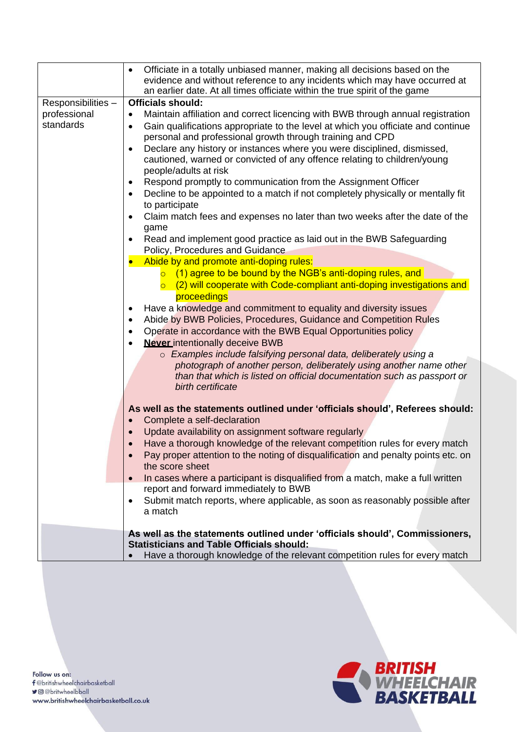|                                                | Officiate in a totally unbiased manner, making all decisions based on the<br>$\bullet$<br>evidence and without reference to any incidents which may have occurred at<br>an earlier date. At all times officiate within the true spirit of the game                                                                                                                                                                                                                                                                                                                                                                                                                                                                                                                                                                                                                                                                                                                                                                                                                                                                                                                                                                                                                                                                                                |
|------------------------------------------------|---------------------------------------------------------------------------------------------------------------------------------------------------------------------------------------------------------------------------------------------------------------------------------------------------------------------------------------------------------------------------------------------------------------------------------------------------------------------------------------------------------------------------------------------------------------------------------------------------------------------------------------------------------------------------------------------------------------------------------------------------------------------------------------------------------------------------------------------------------------------------------------------------------------------------------------------------------------------------------------------------------------------------------------------------------------------------------------------------------------------------------------------------------------------------------------------------------------------------------------------------------------------------------------------------------------------------------------------------|
|                                                | <b>Officials should:</b>                                                                                                                                                                                                                                                                                                                                                                                                                                                                                                                                                                                                                                                                                                                                                                                                                                                                                                                                                                                                                                                                                                                                                                                                                                                                                                                          |
| Responsibilities-<br>professional<br>standards | Maintain affiliation and correct licencing with BWB through annual registration<br>$\bullet$<br>Gain qualifications appropriate to the level at which you officiate and continue<br>$\bullet$<br>personal and professional growth through training and CPD<br>Declare any history or instances where you were disciplined, dismissed,<br>$\bullet$<br>cautioned, warned or convicted of any offence relating to children/young<br>people/adults at risk<br>Respond promptly to communication from the Assignment Officer<br>$\bullet$<br>Decline to be appointed to a match if not completely physically or mentally fit<br>to participate<br>Claim match fees and expenses no later than two weeks after the date of the<br>$\bullet$<br>game<br>Read and implement good practice as laid out in the BWB Safeguarding<br>Policy, Procedures and Guidance<br>Abide by and promote anti-doping rules:<br>o (1) agree to be bound by the NGB's anti-doping rules, and<br>$\circ$ (2) will cooperate with Code-compliant anti-doping investigations and<br>proceedings<br>Have a knowledge and commitment to equality and diversity issues<br>Abide by BWB Policies, Procedures, Guidance and Competition Rules<br>$\bullet$<br>Operate in accordance with the BWB Equal Opportunities policy<br>$\bullet$<br><b>Never intentionally deceive BWB</b> |
|                                                | o Examples include falsifying personal data, deliberately using a<br>photograph of another person, deliberately using another name other<br>than that which is listed on official documentation such as passport or<br>birth certificate<br>As well as the statements outlined under 'officials should', Referees should:<br>Complete a self-declaration                                                                                                                                                                                                                                                                                                                                                                                                                                                                                                                                                                                                                                                                                                                                                                                                                                                                                                                                                                                          |
|                                                | Update availability on assignment software regularly                                                                                                                                                                                                                                                                                                                                                                                                                                                                                                                                                                                                                                                                                                                                                                                                                                                                                                                                                                                                                                                                                                                                                                                                                                                                                              |
|                                                | Have a thorough knowledge of the relevant competition rules for every match<br>Pay proper attention to the noting of disqualification and penalty points etc. on<br>the score sheet                                                                                                                                                                                                                                                                                                                                                                                                                                                                                                                                                                                                                                                                                                                                                                                                                                                                                                                                                                                                                                                                                                                                                               |
|                                                | In cases where a participant is disqualified from a match, make a full written                                                                                                                                                                                                                                                                                                                                                                                                                                                                                                                                                                                                                                                                                                                                                                                                                                                                                                                                                                                                                                                                                                                                                                                                                                                                    |
|                                                | report and forward immediately to BWB                                                                                                                                                                                                                                                                                                                                                                                                                                                                                                                                                                                                                                                                                                                                                                                                                                                                                                                                                                                                                                                                                                                                                                                                                                                                                                             |
|                                                | Submit match reports, where applicable, as soon as reasonably possible after<br>a match                                                                                                                                                                                                                                                                                                                                                                                                                                                                                                                                                                                                                                                                                                                                                                                                                                                                                                                                                                                                                                                                                                                                                                                                                                                           |
|                                                | As well as the statements outlined under 'officials should', Commissioners,<br><b>Statisticians and Table Officials should:</b>                                                                                                                                                                                                                                                                                                                                                                                                                                                                                                                                                                                                                                                                                                                                                                                                                                                                                                                                                                                                                                                                                                                                                                                                                   |
|                                                | Have a thorough knowledge of the relevant competition rules for every match                                                                                                                                                                                                                                                                                                                                                                                                                                                                                                                                                                                                                                                                                                                                                                                                                                                                                                                                                                                                                                                                                                                                                                                                                                                                       |



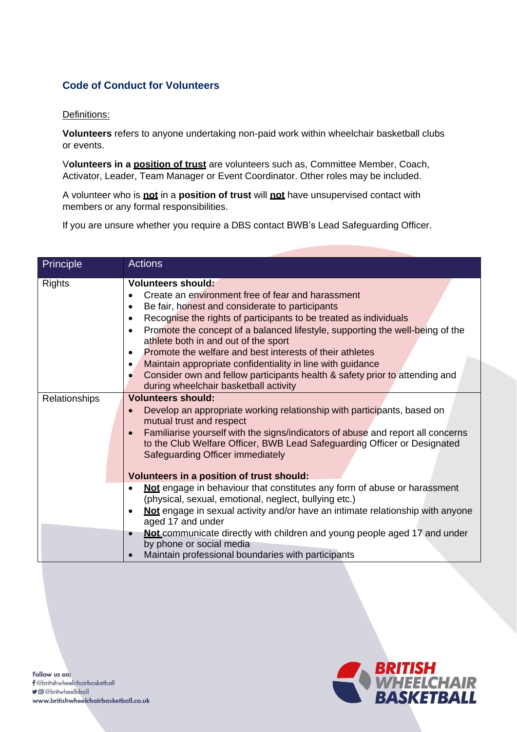#### **Code of Conduct for Volunteers**

#### Definitions:

**Volunteers** refers to anyone undertaking non-paid work within wheelchair basketball clubs or events.

V**olunteers in a position of trust** are volunteers such as, Committee Member, Coach, Activator, Leader, Team Manager or Event Coordinator. Other roles may be included.

A volunteer who is **not** in a **position of trust** will **not** have unsupervised contact with members or any formal responsibilities.

If you are unsure whether you require a DBS contact BWB's Lead Safeguarding Officer.

| Principle            | <b>Actions</b>                                                                                                                                                                                                                                                                                                                                                                                                                                                                                                                                                                                                                                                               |
|----------------------|------------------------------------------------------------------------------------------------------------------------------------------------------------------------------------------------------------------------------------------------------------------------------------------------------------------------------------------------------------------------------------------------------------------------------------------------------------------------------------------------------------------------------------------------------------------------------------------------------------------------------------------------------------------------------|
| <b>Rights</b>        | <b>Volunteers should:</b><br>Create an environment free of fear and harassment<br>$\bullet$<br>Be fair, honest and considerate to participants<br>$\bullet$<br>Recognise the rights of participants to be treated as individuals<br>$\bullet$<br>Promote the concept of a balanced lifestyle, supporting the well-being of the<br>$\bullet$<br>athlete both in and out of the sport<br>Promote the welfare and best interests of their athletes<br>$\bullet$<br>Maintain appropriate confidentiality in line with guidance<br>$\bullet$<br>Consider own and fellow participants health & safety prior to attending and<br>$\bullet$<br>during wheelchair basketball activity |
| <b>Relationships</b> | <b>Volunteers should:</b><br>Develop an appropriate working relationship with participants, based on<br>$\bullet$<br>mutual trust and respect<br>Familiarise yourself with the signs/indicators of abuse and report all concerns<br>to the Club Welfare Officer, BWB Lead Safeguarding Officer or Designated<br>Safeguarding Officer immediately<br>Volunteers in a position of trust should:                                                                                                                                                                                                                                                                                |
|                      | Not engage in behaviour that constitutes any form of abuse or harassment<br>(physical, sexual, emotional, neglect, bullying etc.)<br>Not engage in sexual activity and/or have an intimate relationship with anyone<br>aged 17 and under<br>Not communicate directly with children and young people aged 17 and under<br>by phone or social media<br>Maintain professional boundaries with participants                                                                                                                                                                                                                                                                      |



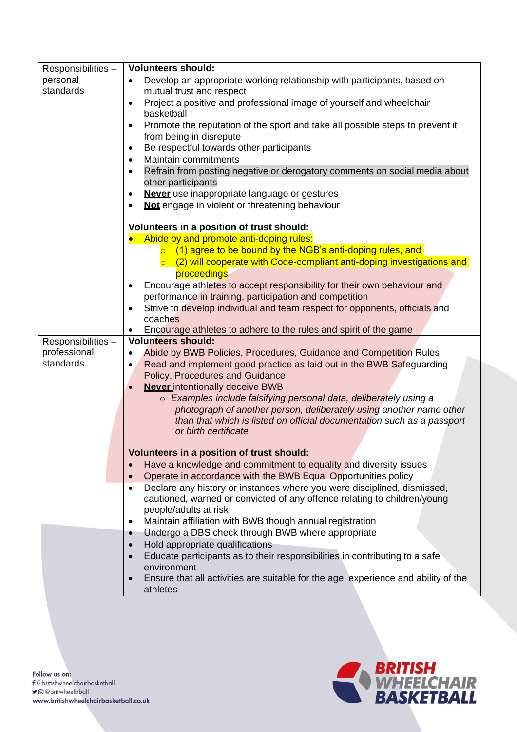| Responsibilities- | <b>Volunteers should:</b>                                                                       |
|-------------------|-------------------------------------------------------------------------------------------------|
| personal          | Develop an appropriate working relationship with participants, based on<br>$\bullet$            |
| standards         | mutual trust and respect                                                                        |
|                   | Project a positive and professional image of yourself and wheelchair<br>$\bullet$<br>basketball |
|                   | Promote the reputation of the sport and take all possible steps to prevent it<br>$\bullet$      |
|                   | from being in disrepute                                                                         |
|                   | Be respectful towards other participants<br>$\bullet$                                           |
|                   | <b>Maintain commitments</b><br>$\bullet$                                                        |
|                   | Refrain from posting negative or derogatory comments on social media about<br>$\bullet$         |
|                   | other participants                                                                              |
|                   | <b>Never</b> use inappropriate language or gestures<br>$\bullet$                                |
|                   | Not engage in violent or threatening behaviour                                                  |
|                   | Volunteers in a position of trust should:                                                       |
|                   | Abide by and promote anti-doping rules:                                                         |
|                   | $\circ$ (1) agree to be bound by the NGB's anti-doping rules, and                               |
|                   | $\circ$ (2) will cooperate with Code-compliant anti-doping investigations and                   |
|                   | proceedings                                                                                     |
|                   | Encourage athletes to accept responsibility for their own behaviour and                         |
|                   | performance in training, participation and competition                                          |
|                   | Strive to develop individual and team respect for opponents, officials and<br>$\bullet$         |
|                   | coaches                                                                                         |
|                   | Encourage athletes to adhere to the rules and spirit of the game                                |
| Responsibilities- | <b>Volunteers should:</b>                                                                       |
| professional      | Abide by BWB Policies, Procedures, Guidance and Competition Rules<br>$\bullet$                  |
| standards         | Read and implement good practice as laid out in the BWB Safeguarding<br>$\bullet$               |
|                   | Policy, Procedures and Guidance                                                                 |
|                   | <b>Never intentionally deceive BWB</b>                                                          |
|                   | o Examples include falsifying personal data, deliberately using a                               |
|                   | photograph of another person, deliberately using another name other                             |
|                   | than that which is listed on official documentation such as a passport                          |
|                   | or birth certificate                                                                            |
|                   | <b>Volunteers in a position of trust should:</b>                                                |
|                   | Have a knowledge and commitment to equality and diversity issues<br>$\bullet$                   |
|                   | Operate in accordance with the BWB Equal Opportunities policy                                   |
|                   | Declare any history or instances where you were disciplined, dismissed,<br>$\bullet$            |
|                   | cautioned, warned or convicted of any offence relating to children/young                        |
|                   | people/adults at risk                                                                           |
|                   | Maintain affiliation with BWB though annual registration<br>٠                                   |
|                   | Undergo a DBS check through BWB where appropriate                                               |
|                   | Hold appropriate qualifications                                                                 |
|                   | Educate participants as to their responsibilities in contributing to a safe                     |
|                   | environment                                                                                     |
|                   | Ensure that all activities are suitable for the age, experience and ability of the              |
|                   | athletes                                                                                        |

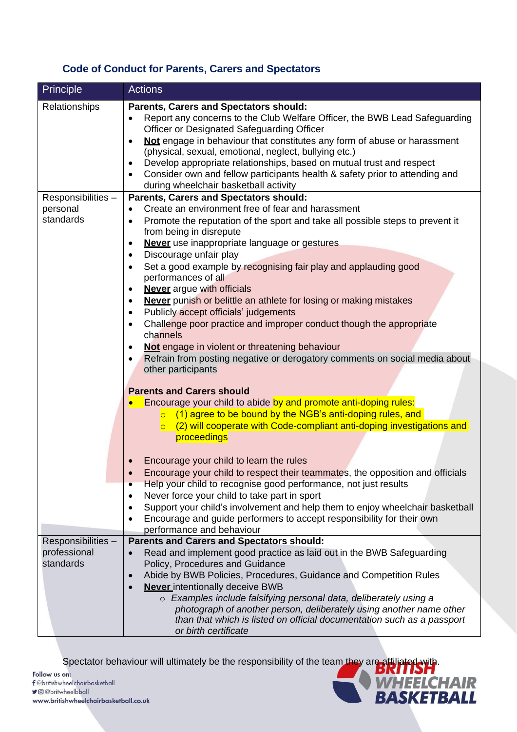## **Code of Conduct for Parents, Carers and Spectators**

| <b>Principle</b>                               | <b>Actions</b>                                                                                                                                                                                                                                                                                                                                                                                                                                                                                                                                                                                                                                                                                                                                                                                                             |
|------------------------------------------------|----------------------------------------------------------------------------------------------------------------------------------------------------------------------------------------------------------------------------------------------------------------------------------------------------------------------------------------------------------------------------------------------------------------------------------------------------------------------------------------------------------------------------------------------------------------------------------------------------------------------------------------------------------------------------------------------------------------------------------------------------------------------------------------------------------------------------|
| Relationships                                  | <b>Parents, Carers and Spectators should:</b><br>Report any concerns to the Club Welfare Officer, the BWB Lead Safeguarding<br>Officer or Designated Safeguarding Officer<br>Not engage in behaviour that constitutes any form of abuse or harassment<br>(physical, sexual, emotional, neglect, bullying etc.)<br>Develop appropriate relationships, based on mutual trust and respect<br>Consider own and fellow participants health & safety prior to attending and<br>during wheelchair basketball activity                                                                                                                                                                                                                                                                                                             |
| Responsibilities-<br>personal<br>standards     | Parents, Carers and Spectators should:<br>Create an environment free of fear and harassment<br>$\bullet$<br>Promote the reputation of the sport and take all possible steps to prevent it<br>$\bullet$<br>from being in disrepute<br>Never use inappropriate language or gestures<br>Discourage unfair play<br>Set a good example by recognising fair play and applauding good<br>performances of all<br><b>Never</b> argue with officials<br><b>Never</b> punish or belittle an athlete for losing or making mistakes<br>Publicly accept officials' judgements<br>٠<br>Challenge poor practice and improper conduct though the appropriate<br>$\bullet$<br>channels<br>Not engage in violent or threatening behaviour<br>Refrain from posting negative or derogatory comments on social media about<br>other participants |
|                                                | <b>Parents and Carers should</b><br>Encourage your child to abide by and promote anti-doping rules:<br>(1) agree to be bound by the NGB's anti-doping rules, and<br>$\overline{\circ}$<br>(2) will cooperate with Code-compliant anti-doping investigations and<br>proceedings<br>Encourage your child to learn the rules<br>Encourage your child to respect their teammates, the opposition and officials<br>Help your child to recognise good performance, not just results<br>Never force your child to take part in sport<br>$\bullet$<br>Support your child's involvement and help them to enjoy wheelchair basketball<br>Encourage and guide performers to accept responsibility for their own<br>performance and behaviour                                                                                          |
| Responsibilities-<br>professional<br>standards | <b>Parents and Carers and Spectators should:</b><br>Read and implement good practice as laid out in the BWB Safeguarding<br>Policy, Procedures and Guidance<br>Abide by BWB Policies, Procedures, Guidance and Competition Rules<br><b>Never intentionally deceive BWB</b><br>o Examples include falsifying personal data, deliberately using a<br>photograph of another person, deliberately using another name other<br>than that which is listed on official documentation such as a passport<br>or birth certificate                                                                                                                                                                                                                                                                                                   |

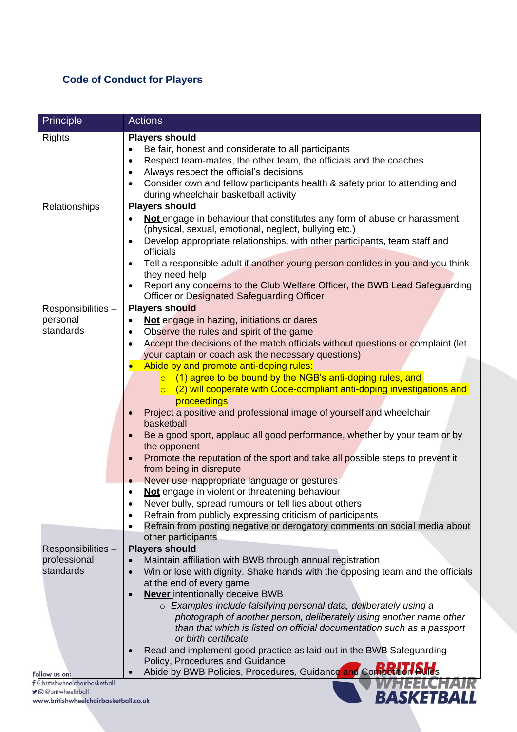## **Code of Conduct for Players**

| Principle                                                                                                               | <b>Actions</b>                                                                                                                                                                                                                                                                                                                                                                                                                                                                                                                                                                                                                                                                                                                                                                                                                                                                                                                                                                                                                                                                                                                                                                                                                  |
|-------------------------------------------------------------------------------------------------------------------------|---------------------------------------------------------------------------------------------------------------------------------------------------------------------------------------------------------------------------------------------------------------------------------------------------------------------------------------------------------------------------------------------------------------------------------------------------------------------------------------------------------------------------------------------------------------------------------------------------------------------------------------------------------------------------------------------------------------------------------------------------------------------------------------------------------------------------------------------------------------------------------------------------------------------------------------------------------------------------------------------------------------------------------------------------------------------------------------------------------------------------------------------------------------------------------------------------------------------------------|
| <b>Rights</b>                                                                                                           | <b>Players should</b><br>Be fair, honest and considerate to all participants<br>Respect team-mates, the other team, the officials and the coaches<br>$\bullet$<br>Always respect the official's decisions<br>$\bullet$<br>Consider own and fellow participants health & safety prior to attending and<br>$\bullet$<br>during wheelchair basketball activity                                                                                                                                                                                                                                                                                                                                                                                                                                                                                                                                                                                                                                                                                                                                                                                                                                                                     |
| Relationships                                                                                                           | <b>Players should</b><br>Not engage in behaviour that constitutes any form of abuse or harassment<br>$\bullet$<br>(physical, sexual, emotional, neglect, bullying etc.)<br>Develop appropriate relationships, with other participants, team staff and<br>officials<br>Tell a responsible adult if another young person confides in you and you think<br>they need help<br>Report any concerns to the Club Welfare Officer, the BWB Lead Safeguarding<br><b>Officer or Designated Safeguarding Officer</b>                                                                                                                                                                                                                                                                                                                                                                                                                                                                                                                                                                                                                                                                                                                       |
| Responsibilities-<br>personal<br>standards                                                                              | <b>Players should</b><br>Not engage in hazing, initiations or dares<br>٠<br>Observe the rules and spirit of the game<br>$\bullet$<br>Accept the decisions of the match officials without questions or complaint (let<br>$\bullet$<br>your captain or coach ask the necessary questions)<br>Abide by and promote anti-doping rules:<br>$\bullet$<br>$\circ$ (1) agree to be bound by the NGB's anti-doping rules, and<br>(2) will cooperate with Code-compliant anti-doping investigations and<br>$\overline{\circ}$<br>proceedings<br>Project a positive and professional image of yourself and wheelchair<br>basketball<br>Be a good sport, applaud all good performance, whether by your team or by<br>the opponent<br>Promote the reputation of the sport and take all possible steps to prevent it<br>$\bullet$<br>from being in disrepute<br>Never use inappropriate language or gestures<br>$\bullet$<br>Not engage in violent or threatening behaviour<br>$\bullet$<br>Never bully, spread rumours or tell lies about others<br>Refrain from publicly expressing criticism of participants<br>$\bullet$<br>Refrain from posting negative or derogatory comments on social media about<br>$\bullet$<br>other participants |
| Responsibilities-<br>professional<br>standards<br>Follow us on:<br>f@britishwheelchairbasketball<br>■ © @britwheelbball | <b>Players should</b><br>Maintain affiliation with BWB through annual registration<br>Win or lose with dignity. Shake hands with the opposing team and the officials<br>at the end of every game<br><b>Never intentionally deceive BWB</b><br>$\bullet$<br>o Examples include falsifying personal data, deliberately using a<br>photograph of another person, deliberately using another name other<br>than that which is listed on official documentation such as a passport<br>or birth certificate<br>Read and implement good practice as laid out in the BWB Safeguarding<br>$\bullet$<br>Policy, Procedures and Guidance<br>Abide by BWB Policies, Procedures, Guidance and Competition Rules<br>SKETBALL                                                                                                                                                                                                                                                                                                                                                                                                                                                                                                                  |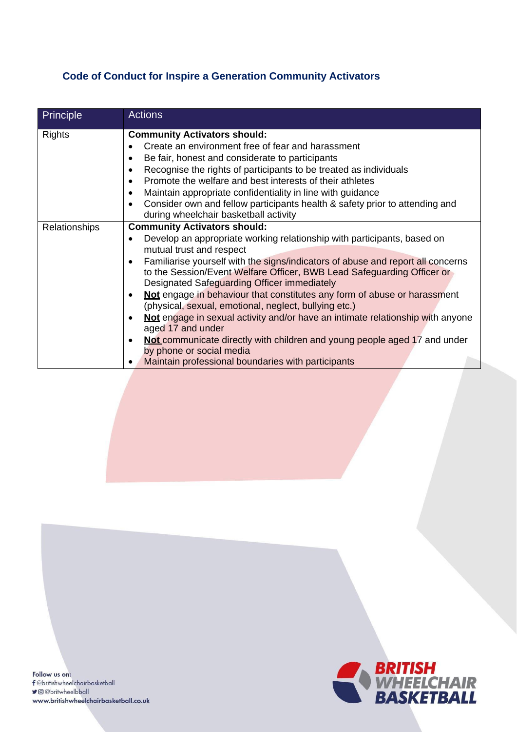| <b>Code of Conduct for Inspire a Generation Community Activators</b> |
|----------------------------------------------------------------------|
|----------------------------------------------------------------------|

| Principle     | <b>Actions</b>                                                                                                                                                                                                                                                                                                                                                                                                                                                                                                                                                                                                                                                                                                                                                                 |
|---------------|--------------------------------------------------------------------------------------------------------------------------------------------------------------------------------------------------------------------------------------------------------------------------------------------------------------------------------------------------------------------------------------------------------------------------------------------------------------------------------------------------------------------------------------------------------------------------------------------------------------------------------------------------------------------------------------------------------------------------------------------------------------------------------|
| <b>Rights</b> | <b>Community Activators should:</b><br>Create an environment free of fear and harassment<br>Be fair, honest and considerate to participants<br>٠<br>Recognise the rights of participants to be treated as individuals<br>Promote the welfare and best interests of their athletes<br>$\bullet$<br>Maintain appropriate confidentiality in line with guidance<br>Consider own and fellow participants health & safety prior to attending and<br>$\bullet$<br>during wheelchair basketball activity                                                                                                                                                                                                                                                                              |
| Relationships | <b>Community Activators should:</b><br>Develop an appropriate working relationship with participants, based on<br>mutual trust and respect<br>Familiarise yourself with the signs/indicators of abuse and report all concerns<br>$\bullet$<br>to the Session/Event Welfare Officer, BWB Lead Safeguarding Officer or<br>Designated Safeguarding Officer immediately<br>Not engage in behaviour that constitutes any form of abuse or harassment<br>(physical, sexual, emotional, neglect, bullying etc.)<br>Not engage in sexual activity and/or have an intimate relationship with anyone<br>aged 17 and under<br>Not communicate directly with children and young people aged 17 and under<br>by phone or social media<br>Maintain professional boundaries with participants |

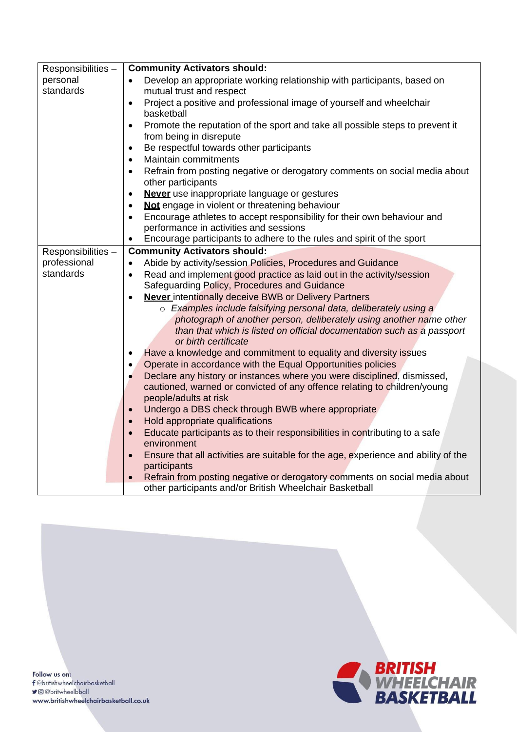| Responsibilities- | <b>Community Activators should:</b>                                                                                                      |
|-------------------|------------------------------------------------------------------------------------------------------------------------------------------|
| personal          | Develop an appropriate working relationship with participants, based on                                                                  |
| standards         | mutual trust and respect                                                                                                                 |
|                   | Project a positive and professional image of yourself and wheelchair<br>$\bullet$<br>basketball                                          |
|                   | Promote the reputation of the sport and take all possible steps to prevent it                                                            |
|                   | from being in disrepute                                                                                                                  |
|                   | Be respectful towards other participants                                                                                                 |
|                   | <b>Maintain commitments</b>                                                                                                              |
|                   | Refrain from posting negative or derogatory comments on social media about<br>other participants                                         |
|                   | Never use inappropriate language or gestures                                                                                             |
|                   | Not engage in violent or threatening behaviour                                                                                           |
|                   | Encourage athletes to accept responsibility for their own behaviour and                                                                  |
|                   | performance in activities and sessions                                                                                                   |
|                   | Encourage participants to adhere to the rules and spirit of the sport                                                                    |
| Responsibilities- | <b>Community Activators should:</b>                                                                                                      |
| professional      | Abide by activity/session Policies, Procedures and Guidance                                                                              |
| standards         | Read and implement good practice as laid out in the activity/session                                                                     |
|                   | Safeguarding Policy, Procedures and Guidance                                                                                             |
|                   | <b>Never intentionally deceive BWB or Delivery Partners</b>                                                                              |
|                   | o Examples include falsifying personal data, deliberately using a<br>photograph of another person, deliberately using another name other |
|                   | than that which is listed on official documentation such as a passport                                                                   |
|                   | or birth certificate                                                                                                                     |
|                   | Have a knowledge and commitment to equality and diversity issues                                                                         |
|                   | Operate in accordance with the Equal Opportunities policies<br>$\bullet$                                                                 |
|                   | Declare any history or instances where you were disciplined, dismissed,                                                                  |
|                   | cautioned, warned or convicted of any offence relating to children/young                                                                 |
|                   | people/adults at risk                                                                                                                    |
|                   | Undergo a DBS check through BWB where appropriate                                                                                        |
|                   | Hold appropriate qualifications                                                                                                          |
|                   | Educate participants as to their responsibilities in contributing to a safe                                                              |
|                   | environment                                                                                                                              |
|                   | Ensure that all activities are suitable for the age, experience and ability of the                                                       |
|                   | participants<br>Refrain from posting negative or derogatory comments on social media about                                               |
|                   | other participants and/or British Wheelchair Basketball                                                                                  |

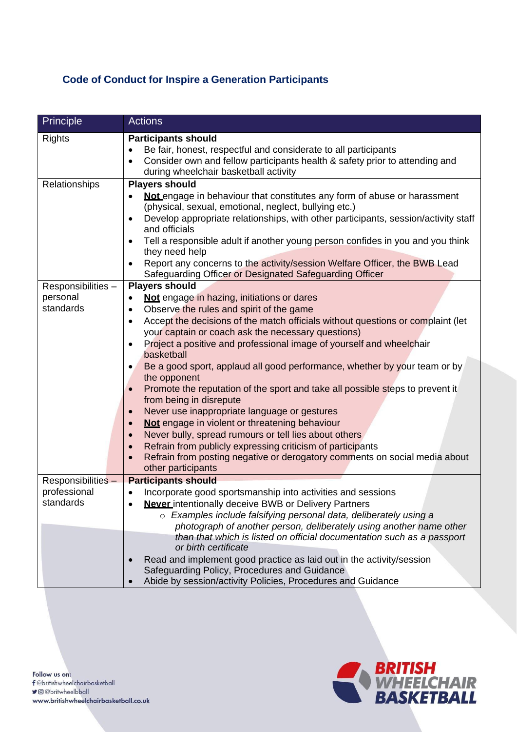#### **Code of Conduct for Inspire a Generation Participants**

| Principle          | <b>Actions</b>                                                                                                                                        |
|--------------------|-------------------------------------------------------------------------------------------------------------------------------------------------------|
| <b>Rights</b>      | <b>Participants should</b><br>Be fair, honest, respectful and considerate to all participants                                                         |
|                    | Consider own and fellow participants health & safety prior to attending and<br>during wheelchair basketball activity                                  |
| Relationships      | <b>Players should</b>                                                                                                                                 |
|                    | Not engage in behaviour that constitutes any form of abuse or harassment<br>(physical, sexual, emotional, neglect, bullying etc.)                     |
|                    | Develop appropriate relationships, with other participants, session/activity staff<br>and officials                                                   |
|                    | Tell a responsible adult if another young person confides in you and you think<br>they need help                                                      |
|                    | Report any concerns to the activity/session Welfare Officer, the BWB Lead<br>Safeguarding Officer or Designated Safeguarding Officer                  |
| Responsibilities-  | <b>Players should</b>                                                                                                                                 |
| personal           | Not engage in hazing, initiations or dares                                                                                                            |
| standards          | Observe the rules and spirit of the game<br>$\bullet$                                                                                                 |
|                    | Accept the decisions of the match officials without questions or complaint (let<br>$\bullet$                                                          |
|                    | your captain or coach ask the necessary questions)                                                                                                    |
|                    | Project a positive and professional image of yourself and wheelchair                                                                                  |
|                    | basketball                                                                                                                                            |
|                    | Be a good sport, applaud all good performance, whether by your team or by<br>the opponent                                                             |
|                    | Promote the reputation of the sport and take all possible steps to prevent it                                                                         |
|                    | from being in disrepute                                                                                                                               |
|                    | Never use inappropriate language or gestures                                                                                                          |
|                    | Not engage in violent or threatening behaviour                                                                                                        |
|                    | Never bully, spread rumours or tell lies about others                                                                                                 |
|                    | Refrain from publicly expressing criticism of participants<br>$\bullet$<br>Refrain from posting negative or derogatory comments on social media about |
|                    | other participants                                                                                                                                    |
| Responsibilities - | <b>Participants should</b>                                                                                                                            |
| professional       | Incorporate good sportsmanship into activities and sessions                                                                                           |
| standards          | <b>Never</b> intentionally deceive BWB or Delivery Partners                                                                                           |
|                    | ○ Examples include falsifying personal data, deliberately using a                                                                                     |
|                    | photograph of another person, deliberately using another name other                                                                                   |
|                    | than that which is listed on official documentation such as a passport<br>or birth certificate                                                        |
|                    | Read and implement good practice as laid out in the activity/session                                                                                  |
|                    | Safeguarding Policy, Procedures and Guidance                                                                                                          |
|                    | Abide by session/activity Policies, Procedures and Guidance                                                                                           |



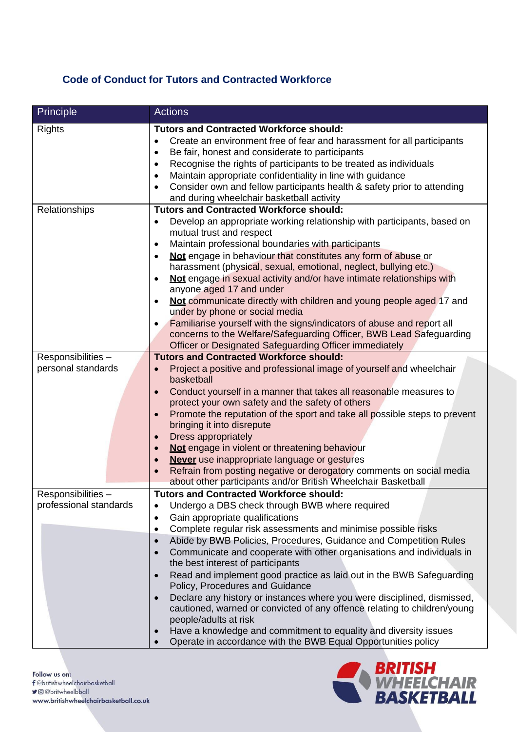#### **Code of Conduct for Tutors and Contracted Workforce**

| Principle                                   | <b>Actions</b>                                                                                                                                                                                                                                                                                                                                                                                                                                                                                                                                                                                                                                                                                                                                                                                                                                                                                                          |
|---------------------------------------------|-------------------------------------------------------------------------------------------------------------------------------------------------------------------------------------------------------------------------------------------------------------------------------------------------------------------------------------------------------------------------------------------------------------------------------------------------------------------------------------------------------------------------------------------------------------------------------------------------------------------------------------------------------------------------------------------------------------------------------------------------------------------------------------------------------------------------------------------------------------------------------------------------------------------------|
| <b>Rights</b>                               | <b>Tutors and Contracted Workforce should:</b><br>Create an environment free of fear and harassment for all participants<br>$\bullet$<br>Be fair, honest and considerate to participants<br>٠<br>Recognise the rights of participants to be treated as individuals<br>$\bullet$<br>Maintain appropriate confidentiality in line with guidance<br>$\bullet$<br>Consider own and fellow participants health & safety prior to attending<br>$\bullet$<br>and during wheelchair basketball activity                                                                                                                                                                                                                                                                                                                                                                                                                         |
| Relationships                               | <b>Tutors and Contracted Workforce should:</b><br>Develop an appropriate working relationship with participants, based on<br>mutual trust and respect<br>Maintain professional boundaries with participants<br>$\bullet$<br>Not engage in behaviour that constitutes any form of abuse or<br>$\bullet$<br>harassment (physical, sexual, emotional, neglect, bullying etc.)<br>Not engage in sexual activity and/or have intimate relationships with<br>$\bullet$<br>anyone aged 17 and under<br>Not communicate directly with children and young people aged 17 and<br>$\bullet$<br>under by phone or social media<br>Familiarise yourself with the signs/indicators of abuse and report all<br>$\bullet$<br>concerns to the Welfare/Safeguarding Officer, BWB Lead Safeguarding<br>Officer or Designated Safeguarding Officer immediately                                                                              |
| Responsibilities-<br>personal standards     | <b>Tutors and Contracted Workforce should:</b><br>Project a positive and professional image of yourself and wheelchair<br>$\bullet$<br>basketball<br>Conduct yourself in a manner that takes all reasonable measures to<br>$\bullet$<br>protect your own safety and the safety of others<br>Promote the reputation of the sport and take all possible steps to prevent<br>$\bullet$<br>bringing it into disrepute<br>Dress appropriately<br>$\bullet$<br>Not engage in violent or threatening behaviour<br>$\bullet$<br>Never use inappropriate language or gestures<br>$\bullet$<br>Refrain from posting negative or derogatory comments on social media<br>about other participants and/or British Wheelchair Basketball                                                                                                                                                                                              |
| Responsibilities-<br>professional standards | <b>Tutors and Contracted Workforce should:</b><br>Undergo a DBS check through BWB where required<br>$\bullet$<br>Gain appropriate qualifications<br>٠<br>Complete regular risk assessments and minimise possible risks<br>$\bullet$<br>Abide by BWB Policies, Procedures, Guidance and Competition Rules<br>$\bullet$<br>Communicate and cooperate with other organisations and individuals in<br>$\bullet$<br>the best interest of participants<br>Read and implement good practice as laid out in the BWB Safeguarding<br>$\bullet$<br>Policy, Procedures and Guidance<br>Declare any history or instances where you were disciplined, dismissed,<br>$\bullet$<br>cautioned, warned or convicted of any offence relating to children/young<br>people/adults at risk<br>Have a knowledge and commitment to equality and diversity issues<br>$\bullet$<br>Operate in accordance with the BWB Equal Opportunities policy |

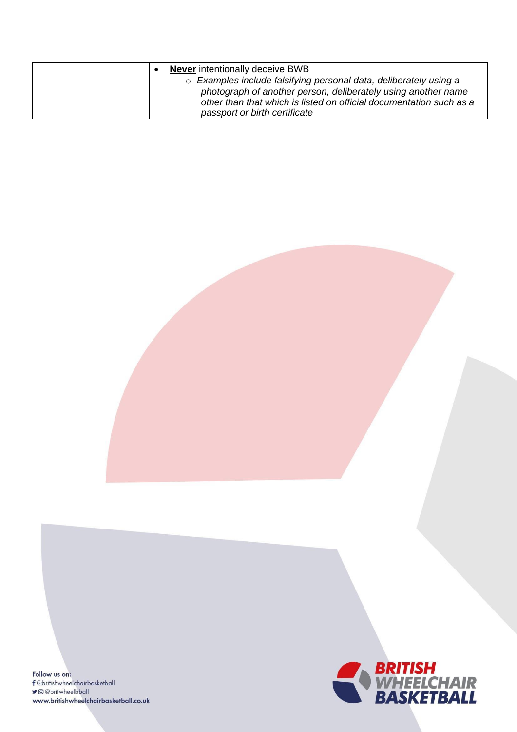| <b>Never</b> intentionally deceive BWB                                                               |
|------------------------------------------------------------------------------------------------------|
| ○ Examples include falsifying personal data, deliberately using a                                    |
| photograph of another person, deliberately using another name                                        |
| other than that which is listed on official documentation such as a<br>passport or birth certificate |
|                                                                                                      |



Follow us on:<br>**f** @britishwheelchairbasketball **9** @britwheelbball www.britishwheelchairbasketball.co.uk